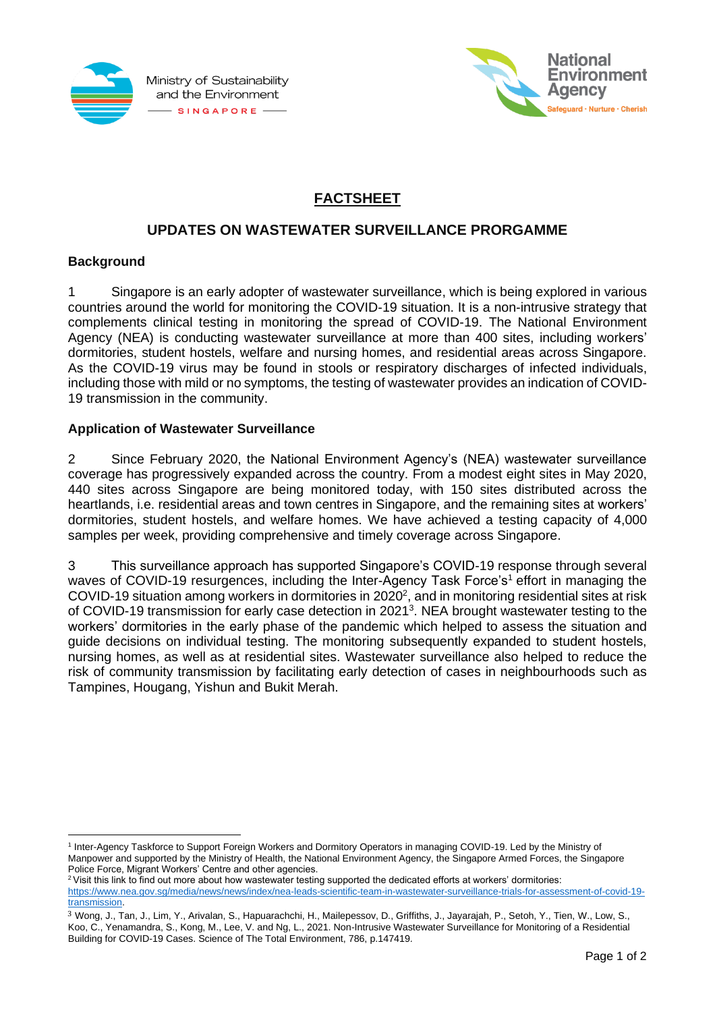



# **FACTSHEET**

## **UPDATES ON WASTEWATER SURVEILLANCE PRORGAMME**

### **Background**

1 Singapore is an early adopter of wastewater surveillance, which is being explored in various countries around the world for monitoring the COVID-19 situation. It is a non-intrusive strategy that complements clinical testing in monitoring the spread of COVID-19. The National Environment Agency (NEA) is conducting wastewater surveillance at more than 400 sites, including workers' dormitories, student hostels, welfare and nursing homes, and residential areas across Singapore. As the COVID-19 virus may be found in stools or respiratory discharges of infected individuals, including those with mild or no symptoms, the testing of wastewater provides an indication of COVID-19 transmission in the community.

### **Application of Wastewater Surveillance**

2 Since February 2020, the National Environment Agency's (NEA) wastewater surveillance coverage has progressively expanded across the country. From a modest eight sites in May 2020, 440 sites across Singapore are being monitored today, with 150 sites distributed across the heartlands, i.e. residential areas and town centres in Singapore, and the remaining sites at workers' dormitories, student hostels, and welfare homes. We have achieved a testing capacity of 4,000 samples per week, providing comprehensive and timely coverage across Singapore.

3 This surveillance approach has supported Singapore's COVID-19 response through several waves of COVID-19 resurgences, including the Inter-Agency Task Force's<sup>1</sup> effort in managing the COVID-19 situation among workers in dormitories in 2020<sup>2</sup>, and in monitoring residential sites at risk of COVID-19 transmission for early case detection in 2021<sup>3</sup>. NEA brought wastewater testing to the workers' dormitories in the early phase of the pandemic which helped to assess the situation and guide decisions on individual testing. The monitoring subsequently expanded to student hostels, nursing homes, as well as at residential sites. Wastewater surveillance also helped to reduce the risk of community transmission by facilitating early detection of cases in neighbourhoods such as Tampines, Hougang, Yishun and Bukit Merah.

<sup>&</sup>lt;sup>1</sup> Inter-Agency Taskforce to Support Foreign Workers and Dormitory Operators in managing COVID-19. Led by the Ministry of Manpower and supported by the Ministry of Health, the National Environment Agency, the Singapore Armed Forces, the Singapore Police Force, Migrant Workers' Centre and other agencies.

<sup>&</sup>lt;sup>2</sup> Visit this link to find out more about how wastewater testing supported the dedicated efforts at workers' dormitories: [https://www.nea.gov.sg/media/news/news/index/nea-leads-scientific-team-in-wastewater-surveillance-trials-for-assessment-of-covid-19](https://www.nea.gov.sg/media/news/news/index/nea-leads-scientific-team-in-wastewater-surveillance-trials-for-assessment-of-covid-19-transmission) [transmission.](https://www.nea.gov.sg/media/news/news/index/nea-leads-scientific-team-in-wastewater-surveillance-trials-for-assessment-of-covid-19-transmission)

<sup>3</sup> Wong, J., Tan, J., Lim, Y., Arivalan, S., Hapuarachchi, H., Mailepessov, D., Griffiths, J., Jayarajah, P., Setoh, Y., Tien, W., Low, S., Koo, C., Yenamandra, S., Kong, M., Lee, V. and Ng, L., 2021. Non-Intrusive Wastewater Surveillance for Monitoring of a Residential Building for COVID-19 Cases. Science of The Total Environment, 786, p.147419.